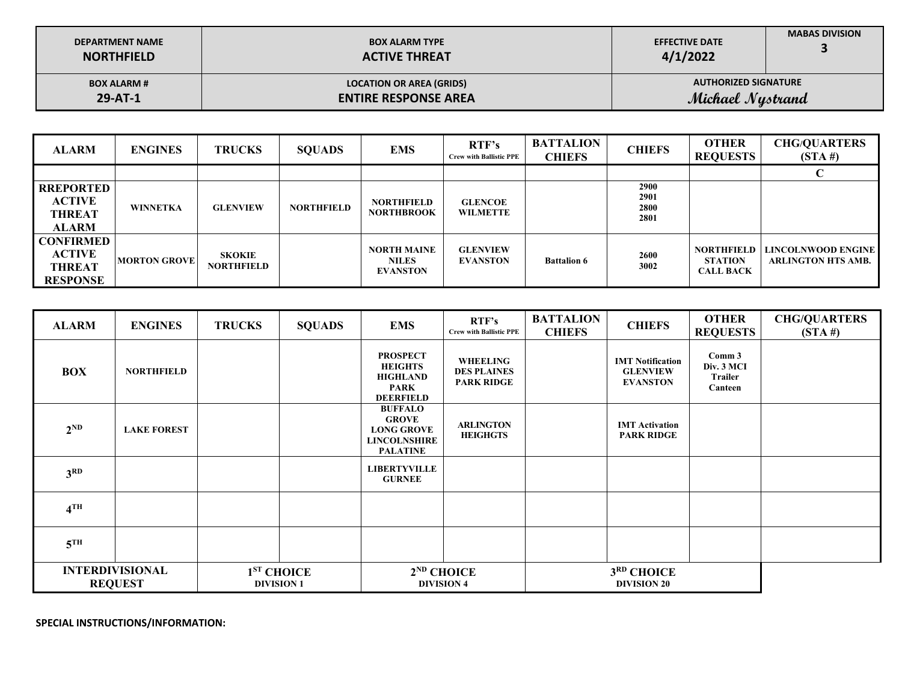| <b>SPECIAL INSTRUCTIONS/INFORMATION:</b> |
|------------------------------------------|
|                                          |

| <b>TARDE OF JOR</b>                      |                    |                   |                        |                                                                                               |                                                            |                                   |                                                               |                                                   |                                   |
|------------------------------------------|--------------------|-------------------|------------------------|-----------------------------------------------------------------------------------------------|------------------------------------------------------------|-----------------------------------|---------------------------------------------------------------|---------------------------------------------------|-----------------------------------|
|                                          |                    |                   |                        |                                                                                               |                                                            |                                   |                                                               |                                                   |                                   |
| <b>ALARM</b>                             | <b>ENGINES</b>     | <b>TRUCKS</b>     | <b>SQUADS</b>          | <b>EMS</b>                                                                                    | RTF's<br><b>Crew with Ballistic PPE</b>                    | <b>BATTALION</b><br><b>CHIEFS</b> | <b>CHIEFS</b>                                                 | <b>OTHER</b><br><b>REQUESTS</b>                   | <b>CHG/QUARTERS</b><br>$(STA \#)$ |
| <b>BOX</b>                               | <b>NORTHFIELD</b>  |                   |                        | <b>PROSPECT</b><br><b>HEIGHTS</b><br><b>HIGHLAND</b><br><b>PARK</b><br><b>DEERFIELD</b>       | <b>WHEELING</b><br><b>DES PLAINES</b><br><b>PARK RIDGE</b> |                                   | <b>IMT Notification</b><br><b>GLENVIEW</b><br><b>EVANSTON</b> | Comm 3<br>Div. 3 MCI<br><b>Trailer</b><br>Canteen |                                   |
| $2^{ND}$                                 | <b>LAKE FOREST</b> |                   |                        | <b>BUFFALO</b><br><b>GROVE</b><br><b>LONG GROVE</b><br><b>LINCOLNSHIRE</b><br><b>PALATINE</b> | <b>ARLINGTON</b><br><b>HEIGHGTS</b>                        |                                   | <b>IMT</b> Activation<br><b>PARK RIDGE</b>                    |                                                   |                                   |
| 3 <sup>RD</sup>                          |                    |                   |                        | <b>LIBERTYVILLE</b><br><b>GURNEE</b>                                                          |                                                            |                                   |                                                               |                                                   |                                   |
| 4 <sup>TH</sup>                          |                    |                   |                        |                                                                                               |                                                            |                                   |                                                               |                                                   |                                   |
| $5^{\text{TH}}$                          |                    |                   |                        |                                                                                               |                                                            |                                   |                                                               |                                                   |                                   |
| <b>INTERDIVISIONAL</b><br><b>REQUEST</b> |                    | <b>DIVISION 1</b> | 1 <sup>ST</sup> CHOICE |                                                                                               | $2^{ND}$ CHOICE<br><b>DIVISION 4</b>                       |                                   | 3RD CHOICE<br><b>DIVISION 20</b>                              |                                                   |                                   |

| <b>ALARM</b>     | <b>ENGINES</b>      | <b>TRUCKS</b>   | <b>SQUADS</b>     | <b>EMS</b>                         | RTF's<br><b>Crew with Ballistic PPE</b> | <b>BATTALION</b><br><b>CHIEFS</b> | <b>CHIEFS</b> | <b>OTHER</b><br><b>REQUESTS</b> | <b>CHG/QUARTERS</b><br>$(STA \#)$                              |
|------------------|---------------------|-----------------|-------------------|------------------------------------|-----------------------------------------|-----------------------------------|---------------|---------------------------------|----------------------------------------------------------------|
|                  |                     |                 |                   |                                    |                                         |                                   |               |                                 |                                                                |
| <b>RREPORTED</b> |                     |                 |                   |                                    |                                         |                                   | <b>2900</b>   |                                 |                                                                |
| <b>ACTIVE</b>    | <b>WINNETKA</b>     | <b>GLENVIEW</b> | <b>NORTHFIELD</b> | <b>NORTHFIELD</b>                  | <b>GLENCOE</b>                          |                                   | 2901<br>2800  |                                 |                                                                |
| THREAT           |                     |                 |                   | <b>NORTHBROOK</b>                  | <b>WILMETTE</b>                         |                                   | 2801          |                                 |                                                                |
| <b>ALARM</b>     |                     |                 |                   |                                    |                                         |                                   |               |                                 |                                                                |
| <b>CONFIRMED</b> |                     |                 |                   |                                    |                                         |                                   |               |                                 |                                                                |
| <b>ACTIVE</b>    | <b>MORTON GROVE</b> | <b>SKOKIE</b>   |                   | <b>NORTH MAINE</b><br><b>NILES</b> | <b>GLENVIEW</b><br><b>EVANSTON</b>      | <b>Battalion 6</b>                | <b>2600</b>   | <b>STATION</b>                  | <b>NORTHFIELD   LINCOLNWOOD ENGINE  </b><br>ARLINGTON HTS AMB. |
| THREAT           |                     | NORTHFIELD      |                   | <b>EVANSTON</b>                    |                                         |                                   | 3002          | <b>CALL BACK</b>                |                                                                |
| <b>RESPONSE</b>  |                     |                 |                   |                                    |                                         |                                   |               |                                 |                                                                |

| <b>DEPARTMENT NAME</b> | <b>BOX ALARM TYPE</b>           | <b>EFFECTIVE DATE</b>       |  |
|------------------------|---------------------------------|-----------------------------|--|
| <b>NORTHFIELD</b>      | <b>ACTIVE THREAT</b>            | 4/1/2022                    |  |
| <b>BOX ALARM #</b>     | <b>LOCATION OR AREA (GRIDS)</b> | <b>AUTHORIZED SIGNATURE</b> |  |
| $29 - AT - 1$          | <b>ENTIRE RESPONSE AREA</b>     | Michael Nystrand            |  |
|                        |                                 |                             |  |

**MABAS DIVISION**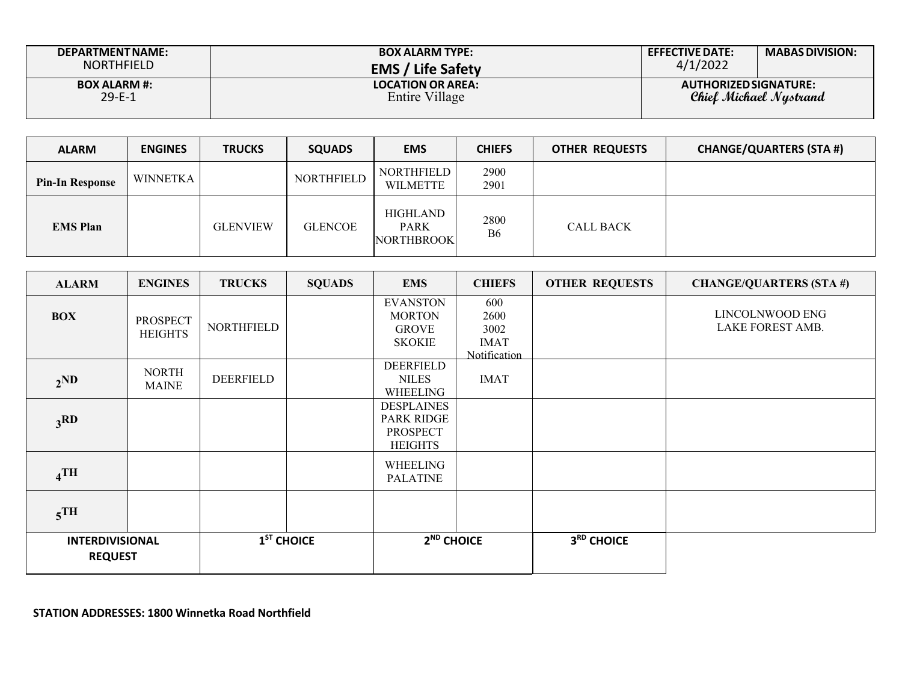| <b>DEPARTMENT NAME:</b>             | <b>BOX ALARM TYPE:</b>                     | <b>EFFECTIVE DATE:</b> | <b>MABAS DIVISION:</b> |
|-------------------------------------|--------------------------------------------|------------------------|------------------------|
| <b>NORTHFIELD</b>                   | <b>EMS / Life Safety</b>                   | 4/1/2022               |                        |
| <b>BOX ALARM #:</b><br>$29 - E - 1$ | <b>LOCATION OR AREA:</b><br>Entire Village | AUTHORIZED SIGNATURE:  | Chiel Michael Nustrand |

| <b>ALARM</b>           | <b>ENGINES</b> | <b>TRUCKS</b>   | <b>SQUADS</b>  | <b>EMS</b>                                   | <b>CHIEFS</b>          | <b>OTHER REQUESTS</b> | <b>CHANGE/QUARTERS (STA #)</b> |
|------------------------|----------------|-----------------|----------------|----------------------------------------------|------------------------|-----------------------|--------------------------------|
| <b>Pin-In Response</b> | WINNETKA       |                 | NORTHFIELD     | <b>NORTHFIELD</b><br><b>WILMETTE</b>         | 2900<br>2901           |                       |                                |
| <b>EMS</b> Plan        |                | <b>GLENVIEW</b> | <b>GLENCOE</b> | HIGHLAND<br><b>PARK</b><br><b>NORTHBROOK</b> | 2800<br>B <sub>6</sub> | <b>CALL BACK</b>      |                                |

| <b>ALARM</b>                             | <b>ENGINES</b>                    | <b>TRUCKS</b> | <b>SQUADS</b> | <b>EMS</b>                                                                  | <b>CHIEFS</b>                                      | <b>OTHER REQUESTS</b> | <b>CHANGE/QUARTERS (STA#)</b>       |
|------------------------------------------|-----------------------------------|---------------|---------------|-----------------------------------------------------------------------------|----------------------------------------------------|-----------------------|-------------------------------------|
| <b>BOX</b>                               | <b>PROSPECT</b><br><b>HEIGHTS</b> | NORTHFIELD    |               | <b>EVANSTON</b><br><b>MORTON</b><br><b>GROVE</b><br><b>SKOKIE</b>           | 600<br>2600<br>3002<br><b>IMAT</b><br>Notification |                       | LINCOLNWOOD ENG<br>LAKE FOREST AMB. |
| 2 <sub>ND</sub>                          | <b>NORTH</b><br><b>MAINE</b>      | DEERFIELD     |               | DEERFIELD<br><b>NILES</b><br>WHEELING                                       | <b>IMAT</b>                                        |                       |                                     |
| 3 <sub>3</sub> RD                        |                                   |               |               | <b>DESPLAINES</b><br><b>PARK RIDGE</b><br><b>PROSPECT</b><br><b>HEIGHTS</b> |                                                    |                       |                                     |
| $_4$ TH                                  |                                   |               |               | WHEELING<br><b>PALATINE</b>                                                 |                                                    |                       |                                     |
| $5$ <sup>TH</sup>                        |                                   |               |               |                                                                             |                                                    |                       |                                     |
| <b>INTERDIVISIONAL</b><br><b>REQUEST</b> |                                   | $1ST$ CHOICE  |               | 2 <sup>ND</sup> CHOICE                                                      |                                                    | 3RD CHOICE            |                                     |

**STATION ADDRESSES: 1800 Winnetka Road Northfield**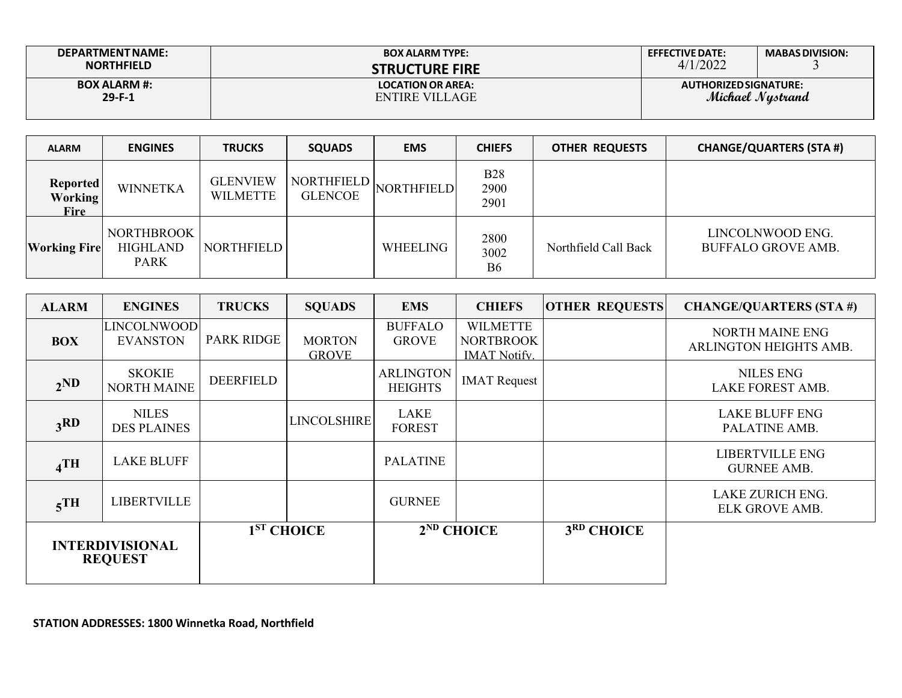| DEPARTMENT NAME:                | <b>BOX ALARM TYPE:</b>                     | <b>EFFECTIVE DATE:</b> | <b>MABAS DIVISION:</b> |
|---------------------------------|--------------------------------------------|------------------------|------------------------|
| <b>NORTHFIELD</b>               | <b>STRUCTURE FIRE</b>                      | 4/1/2022               |                        |
| <b>BOX ALARM #:</b><br>$29-F-1$ | <b>LOCATION OR AREA:</b><br>ENTIRE VILLAGE | AUTHORIZED SIGNATURE:  | Michael Nystrand       |

| <b>ALARM</b>                                     | <b>ENGINES</b>                                      | <b>TRUCKS</b>                      | <b>SQUADS</b>                       | <b>EMS</b>        | <b>CHIEFS</b>                  | <b>OTHER REQUESTS</b> | <b>CHANGE/QUARTERS (STA #)</b>                |
|--------------------------------------------------|-----------------------------------------------------|------------------------------------|-------------------------------------|-------------------|--------------------------------|-----------------------|-----------------------------------------------|
| <b>Reported</b><br><b>Working</b><br><b>Fire</b> | <b>WINNETKA</b>                                     | <b>GLENVIEW</b><br><b>WILMETTE</b> | <b>NORTHFIELD</b><br><b>GLENCOE</b> | <b>NORTHFIELD</b> | <b>B28</b><br>2900<br>2901     |                       |                                               |
| <b>Working Fire</b>                              | <b>NORTHBROOK</b><br><b>HIGHLAND</b><br><b>PARK</b> | NORTHFIELD                         |                                     | WHEELING          | 2800<br>3002<br>B <sub>6</sub> | Northfield Call Back  | LINCOLNWOOD ENG.<br><b>BUFFALO GROVE AMB.</b> |

| <b>ALARM</b>                             | <b>ENGINES</b>                      | <b>TRUCKS</b>     | <b>SQUADS</b>                 | <b>EMS</b>                         | <b>CHIEFS</b>                                              | <b>OTHER REQUESTS</b> | <b>CHANGE/QUARTERS (STA #)</b>                   |
|------------------------------------------|-------------------------------------|-------------------|-------------------------------|------------------------------------|------------------------------------------------------------|-----------------------|--------------------------------------------------|
| <b>BOX</b>                               | LINCOLNWOOD<br><b>EVANSTON</b>      | <b>PARK RIDGE</b> | <b>MORTON</b><br><b>GROVE</b> | <b>BUFFALO</b><br><b>GROVE</b>     | <b>WILMETTE</b><br><b>NORTBROOK</b><br><b>IMAT Notify.</b> |                       | <b>NORTH MAINE ENG</b><br>ARLINGTON HEIGHTS AMB. |
| 2 <sub>ND</sub>                          | <b>SKOKIE</b><br><b>NORTH MAINE</b> | <b>DEERFIELD</b>  |                               | <b>ARLINGTON</b><br><b>HEIGHTS</b> | <b>IMAT</b> Request                                        |                       | <b>NILES ENG</b><br><b>LAKE FOREST AMB.</b>      |
| 3 <sub>RD</sub>                          | <b>NILES</b><br><b>DES PLAINES</b>  |                   | <b>LINCOLSHIRE</b>            | LAKE<br><b>FOREST</b>              |                                                            |                       | <b>LAKE BLUFF ENG</b><br>PALATINE AMB.           |
| $_4$ TH                                  | <b>LAKE BLUFF</b>                   |                   |                               | <b>PALATINE</b>                    |                                                            |                       | <b>LIBERTVILLE ENG</b><br><b>GURNEE AMB.</b>     |
| $5$ <sup>TH</sup>                        | <b>LIBERTVILLE</b>                  |                   |                               | <b>GURNEE</b>                      |                                                            |                       | <b>LAKE ZURICH ENG.</b><br>ELK GROVE AMB.        |
| <b>INTERDIVISIONAL</b><br><b>REQUEST</b> |                                     |                   | 1 <sup>ST</sup> CHOICE        |                                    | $2ND$ CHOICE                                               | 3RD CHOICE            |                                                  |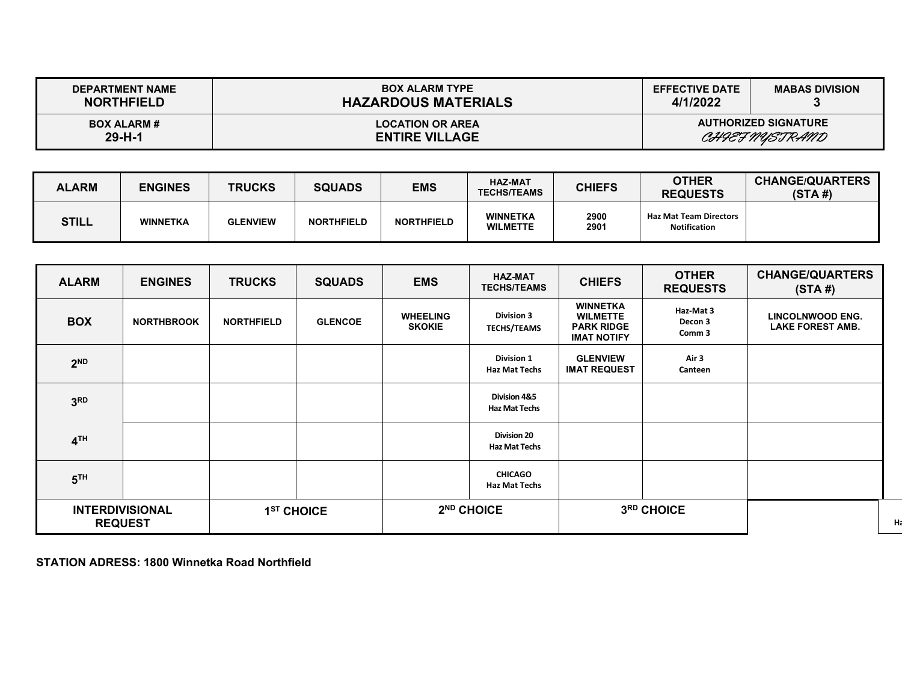| <b>DEPARTMENT NAME</b><br><b>NORTHFIELD</b> | <b>BOX ALARM TYPE</b><br><b>HAZARDOUS MATERIALS</b> | <b>EFFECTIVE DATE</b><br>4/1/2022 | <b>MABAS DIVISION</b>                         |
|---------------------------------------------|-----------------------------------------------------|-----------------------------------|-----------------------------------------------|
| <b>BOX ALARM#</b><br>$29 - H - 1$           | <b>LOCATION OR AREA</b><br><b>ENTIRE VILLAGE</b>    |                                   | <b>AUTHORIZED SIGNATURE</b><br>CHIEF NYSTRAND |

| <b>ALARM</b> | <b>ENGINES</b>  | <b>TRUCKS</b>   | <b>SQUADS</b>     | <b>EMS</b>        | <b>HAZ-MAT</b><br><b>TECHS/TEAMS</b> | <b>CHIEFS</b> | <b>OTHER</b><br><b>REQUESTS</b>                      | <b>CHANGE/QUARTERS</b><br>(STA#) |
|--------------|-----------------|-----------------|-------------------|-------------------|--------------------------------------|---------------|------------------------------------------------------|----------------------------------|
| <b>STILL</b> | <b>WINNETKA</b> | <b>GLENVIEW</b> | <b>NORTHFIELD</b> | <b>NORTHFIELD</b> | <b>WINNETKA</b><br><b>WILMETTE</b>   | 2900<br>2901  | <b>Haz Mat Team Directors</b><br><b>Notification</b> |                                  |

| <b>ALARM</b>                             | <b>ENGINES</b>    | <b>TRUCKS</b>          | <b>SQUADS</b>  | <b>EMS</b>                       | <b>HAZ-MAT</b><br><b>TECHS/TEAMS</b>       | <b>CHIEFS</b>                                                                 | <b>OTHER</b><br><b>REQUESTS</b> | <b>CHANGE/QUARTERS</b><br>(STA#)                   |
|------------------------------------------|-------------------|------------------------|----------------|----------------------------------|--------------------------------------------|-------------------------------------------------------------------------------|---------------------------------|----------------------------------------------------|
| <b>BOX</b>                               | <b>NORTHBROOK</b> | <b>NORTHFIELD</b>      | <b>GLENCOE</b> | <b>WHEELING</b><br><b>SKOKIE</b> | <b>Division 3</b><br><b>TECHS/TEAMS</b>    | <b>WINNETKA</b><br><b>WILMETTE</b><br><b>PARK RIDGE</b><br><b>IMAT NOTIFY</b> | Haz-Mat 3<br>Decon 3<br>Comm 3  | <b>LINCOLNWOOD ENG.</b><br><b>LAKE FOREST AMB.</b> |
| 2 <sub>ND</sub>                          |                   |                        |                |                                  | <b>Division 1</b><br>Haz Mat Techs         | <b>GLENVIEW</b><br><b>IMAT REQUEST</b>                                        | Air 3<br>Canteen                |                                                    |
| 3 <sup>RD</sup>                          |                   |                        |                |                                  | Division 4&5<br><b>Haz Mat Techs</b>       |                                                                               |                                 |                                                    |
| 4 <sup>TH</sup>                          |                   |                        |                |                                  | <b>Division 20</b><br><b>Haz Mat Techs</b> |                                                                               |                                 |                                                    |
| 5 <sup>TH</sup>                          |                   |                        |                |                                  | <b>CHICAGO</b><br><b>Haz Mat Techs</b>     |                                                                               |                                 |                                                    |
| <b>INTERDIVISIONAL</b><br><b>REQUEST</b> |                   | 1 <sup>ST</sup> CHOICE |                | 2 <sup>ND</sup> CHOICE           |                                            |                                                                               | 3RD CHOICE                      |                                                    |

**Ha**

**STATION ADRESS: 1800 Winnetka Road Northfield**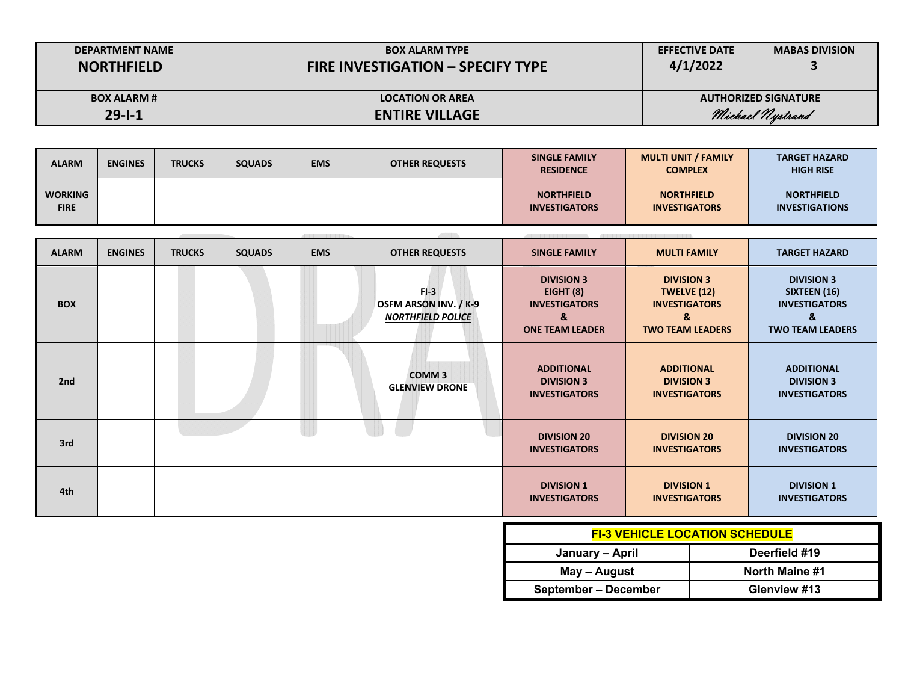| <b>DEPARTMENT NAME</b> | <b>BOX ALARM TYPE</b>                    | <b>EFFECTIVE DATE</b> | <b>MABAS DIVISION</b>       |
|------------------------|------------------------------------------|-----------------------|-----------------------------|
| <b>NORTHFIELD</b>      | <b>FIRE INVESTIGATION - SPECIFY TYPE</b> | 4/1/2022              |                             |
| <b>BOX ALARM #</b>     | <b>LOCATION OR AREA</b>                  |                       | <b>AUTHORIZED SIGNATURE</b> |
| $29 - 1 - 1$           | <b>ENTIRE VILLAGE</b>                    |                       | Michael Nystrand            |

| <b>ALARM</b>                  | <b>ENGINES</b> | <b>TRUCKS</b> | <b>SQUADS</b> | <b>EMS</b> | <b>OTHER REQUESTS</b> | <b>SINGLE FAMILY</b><br><b>RESIDENCE</b>  | <b>MULTI UNIT / FAMILY</b><br><b>COMPLEX</b> | <b>TARGET HAZARD</b><br><b>HIGH RISE</b>   |
|-------------------------------|----------------|---------------|---------------|------------|-----------------------|-------------------------------------------|----------------------------------------------|--------------------------------------------|
| <b>WORKING</b><br><b>FIRE</b> |                |               |               |            |                       | <b>NORTHFIELD</b><br><b>INVESTIGATORS</b> | <b>NORTHFIELD</b><br><b>INVESTIGATORS</b>    | <b>NORTHFIELD</b><br><b>INVESTIGATIONS</b> |

|              |                |               |               |            |                                                                    | 13533131313131313131313                                                                 | Also be a state of the state of the state of the state of the state of the state of the state of the state of |                                                                                           |
|--------------|----------------|---------------|---------------|------------|--------------------------------------------------------------------|-----------------------------------------------------------------------------------------|---------------------------------------------------------------------------------------------------------------|-------------------------------------------------------------------------------------------|
| <b>ALARM</b> | <b>ENGINES</b> | <b>TRUCKS</b> | <b>SQUADS</b> | <b>EMS</b> | <b>OTHER REQUESTS</b>                                              | <b>SINGLE FAMILY</b>                                                                    | <b>MULTI FAMILY</b>                                                                                           | <b>TARGET HAZARD</b>                                                                      |
| <b>BOX</b>   |                |               |               |            | $FI-3$<br><b>OSFM ARSON INV. / K-9</b><br><b>NORTHFIELD POLICE</b> | <b>DIVISION 3</b><br>EIGHT $(8)$<br><b>INVESTIGATORS</b><br>&<br><b>ONE TEAM LEADER</b> | <b>DIVISION 3</b><br><b>TWELVE (12)</b><br><b>INVESTIGATORS</b><br>&<br><b>TWO TEAM LEADERS</b>               | <b>DIVISION 3</b><br>SIXTEEN (16)<br><b>INVESTIGATORS</b><br>&<br><b>TWO TEAM LEADERS</b> |
| 2nd          |                |               |               |            | COMM <sub>3</sub><br><b>GLENVIEW DRONE</b>                         | <b>ADDITIONAL</b><br><b>DIVISION 3</b><br><b>INVESTIGATORS</b>                          | <b>ADDITIONAL</b><br><b>DIVISION 3</b><br><b>INVESTIGATORS</b>                                                | <b>ADDITIONAL</b><br><b>DIVISION 3</b><br><b>INVESTIGATORS</b>                            |
| 3rd          |                |               |               |            |                                                                    | <b>DIVISION 20</b><br><b>INVESTIGATORS</b>                                              | <b>DIVISION 20</b><br><b>INVESTIGATORS</b>                                                                    | <b>DIVISION 20</b><br><b>INVESTIGATORS</b>                                                |
| 4th          |                |               |               |            |                                                                    | <b>DIVISION 1</b><br><b>INVESTIGATORS</b>                                               | <b>DIVISION 1</b><br><b>INVESTIGATORS</b>                                                                     | <b>DIVISION 1</b><br><b>INVESTIGATORS</b>                                                 |

| <b>FI-3 VEHICLE LOCATION SCHEDULE</b> |                |  |  |  |  |  |  |  |
|---------------------------------------|----------------|--|--|--|--|--|--|--|
| January - April                       | Deerfield #19  |  |  |  |  |  |  |  |
| May – August                          | North Maine #1 |  |  |  |  |  |  |  |
| September – December                  | Glenview #13   |  |  |  |  |  |  |  |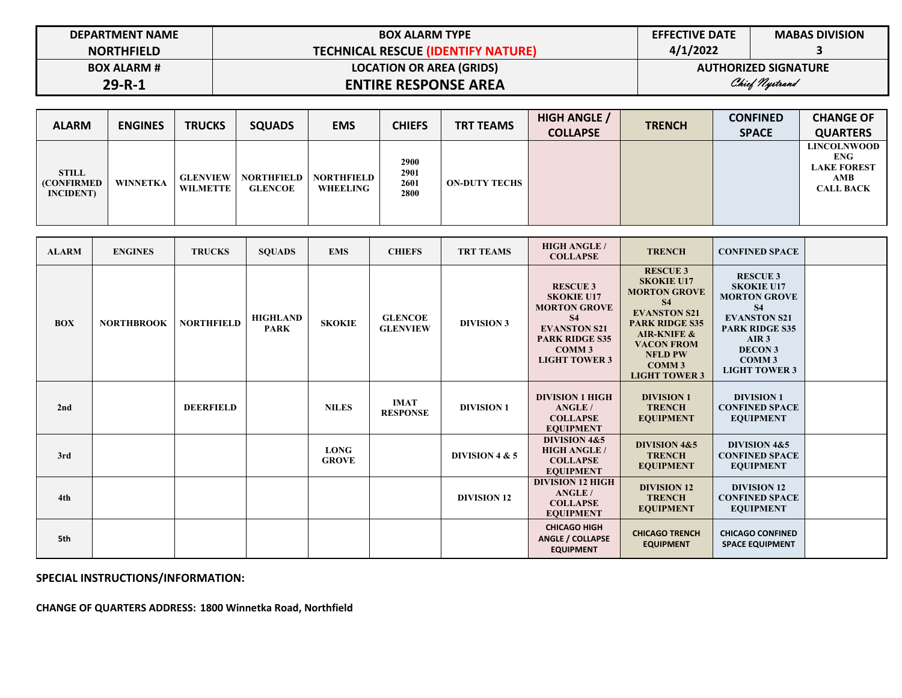| <b>DEPARTMENT NAME</b> | <b>BOX ALARM TYPE</b>                     | <b>EFFECTIVE DATE</b> | <b>MABAS DIVISION</b>       |
|------------------------|-------------------------------------------|-----------------------|-----------------------------|
| <b>NORTHFIELD</b>      | <b>TECHNICAL RESCUE (IDENTIFY NATURE)</b> | 4/1/2022              |                             |
| <b>BOX ALARM #</b>     | <b>LOCATION OR AREA (GRIDS)</b>           |                       | <b>AUTHORIZED SIGNATURE</b> |
| $29 - R - 1$           | <b>ENTIRE RESPONSE AREA</b>               |                       | Chief Nystrand              |

| <b>ALARM</b>                                            | <b>ENGINES</b> | <b>TRUCKS</b>                      | <b>SQUADS</b>                       | <b>EMS</b>                    | <b>CHIEFS</b>                | <b>TRT TEAMS</b>     | <b>HIGH ANGLE /</b><br><b>COLLAPSE</b> | <b>TRENCH</b> | <b>CONFINED</b><br><b>SPACE</b> | <b>CHANGE OF</b><br><b>QUARTERS</b>                                               |
|---------------------------------------------------------|----------------|------------------------------------|-------------------------------------|-------------------------------|------------------------------|----------------------|----------------------------------------|---------------|---------------------------------|-----------------------------------------------------------------------------------|
| <b>STILL</b><br><b>(CONFIRMED)</b><br><b>INCIDENT</b> ) | WINNETKA       | <b>GLENVIEW</b><br><b>WILMETTE</b> | <b>NORTHFIELD</b><br><b>GLENCOE</b> | <b>NORTHFIELD</b><br>WHEELING | 2900<br>2901<br>2601<br>2800 | <b>ON-DUTY TECHS</b> |                                        |               |                                 | <b>LINCOLNWOOD</b><br><b>ENG</b><br><b>LAKE FOREST</b><br>AMB<br><b>CALL BACK</b> |

| <b>ALARM</b> | <b>ENGINES</b>    | <b>TRUCKS</b>     | <b>SOUADS</b>                  | <b>EMS</b>                  | <b>CHIEFS</b>                     | <b>TRT TEAMS</b>   | <b>HIGH ANGLE /</b><br><b>COLLAPSE</b>                                                                                                                                | <b>TRENCH</b>                                                                                                                                                                                                                     | <b>CONFINED SPACE</b>                                                                                                                                                                                       |  |
|--------------|-------------------|-------------------|--------------------------------|-----------------------------|-----------------------------------|--------------------|-----------------------------------------------------------------------------------------------------------------------------------------------------------------------|-----------------------------------------------------------------------------------------------------------------------------------------------------------------------------------------------------------------------------------|-------------------------------------------------------------------------------------------------------------------------------------------------------------------------------------------------------------|--|
| <b>BOX</b>   | <b>NORTHBROOK</b> | <b>NORTHFIELD</b> | <b>HIGHLAND</b><br><b>PARK</b> | <b>SKOKIE</b>               | <b>GLENCOE</b><br><b>GLENVIEW</b> | <b>DIVISION 3</b>  | <b>RESCUE 3</b><br><b>SKOKIE U17</b><br><b>MORTON GROVE</b><br><b>S4</b><br><b>EVANSTON S21</b><br><b>PARK RIDGE S35</b><br>COMM <sub>3</sub><br><b>LIGHT TOWER 3</b> | <b>RESCUE 3</b><br><b>SKOKIE U17</b><br><b>MORTON GROVE</b><br><b>S4</b><br><b>EVANSTON S21</b><br><b>PARK RIDGE S35</b><br><b>AIR-KNIFE &amp;</b><br><b>VACON FROM</b><br><b>NFLD PW</b><br><b>COMM3</b><br><b>LIGHT TOWER 3</b> | <b>RESCUE 3</b><br><b>SKOKIE U17</b><br><b>MORTON GROVE</b><br><b>S4</b><br><b>EVANSTON S21</b><br><b>PARK RIDGE S35</b><br>AIR <sub>3</sub><br><b>DECON 3</b><br>COMM <sub>3</sub><br><b>LIGHT TOWER 3</b> |  |
| 2nd          |                   | <b>DEERFIELD</b>  |                                | <b>NILES</b>                | <b>IMAT</b><br><b>RESPONSE</b>    | <b>DIVISION 1</b>  | <b>DIVISION 1 HIGH</b><br>ANGLE/<br><b>COLLAPSE</b><br><b>EOUIPMENT</b>                                                                                               | <b>DIVISION 1</b><br><b>TRENCH</b><br><b>EQUIPMENT</b>                                                                                                                                                                            | <b>DIVISION 1</b><br><b>CONFINED SPACE</b><br><b>EQUIPMENT</b>                                                                                                                                              |  |
| 3rd          |                   |                   |                                | <b>LONG</b><br><b>GROVE</b> |                                   | DIVISION 4 & 5     | <b>DIVISION 4&amp;5</b><br><b>HIGH ANGLE /</b><br><b>COLLAPSE</b><br><b>EQUIPMENT</b>                                                                                 | <b>DIVISION 4&amp;5</b><br><b>TRENCH</b><br><b>EQUIPMENT</b>                                                                                                                                                                      | <b>DIVISION 4&amp;5</b><br><b>CONFINED SPACE</b><br><b>EQUIPMENT</b>                                                                                                                                        |  |
| 4th          |                   |                   |                                |                             |                                   | <b>DIVISION 12</b> | <b>DIVISION 12 HIGH</b><br>ANGLE/<br><b>COLLAPSE</b><br><b>EQUIPMENT</b>                                                                                              | <b>DIVISION 12</b><br><b>TRENCH</b><br><b>EQUIPMENT</b>                                                                                                                                                                           | <b>DIVISION 12</b><br><b>CONFINED SPACE</b><br><b>EQUIPMENT</b>                                                                                                                                             |  |
| 5th          |                   |                   |                                |                             |                                   |                    | <b>CHICAGO HIGH</b><br>ANGLE / COLLAPSE<br><b>EQUIPMENT</b>                                                                                                           | <b>CHICAGO TRENCH</b><br><b>EQUIPMENT</b>                                                                                                                                                                                         | <b>CHICAGO CONFINED</b><br><b>SPACE EQUIPMENT</b>                                                                                                                                                           |  |

**SPECIAL INSTRUCTIONS/INFORMATION:** 

**CHANGE OF QUARTERS ADDRESS: 1800 Winnetka Road, Northfield**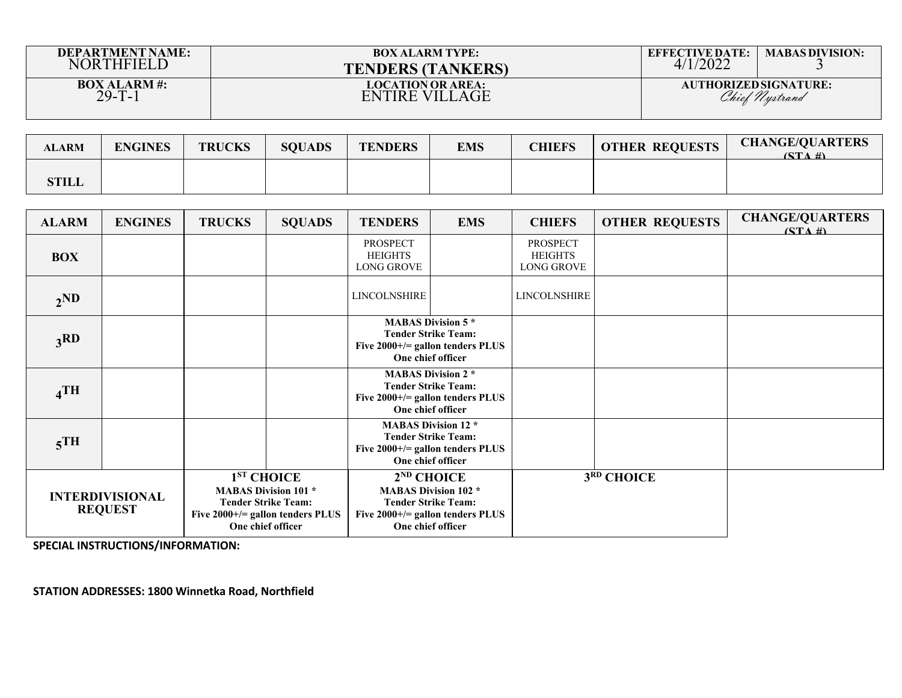| <b>DEPARTMENT NAME:</b>            | <b>BOX ALARM TYPE:</b>                             | <b>EFFECTIVE DATE:</b> | <b>MABAS DIVISION:</b>                         |
|------------------------------------|----------------------------------------------------|------------------------|------------------------------------------------|
| <b>NORTHFIELD</b>                  | <b>TENDERS (TANKERS)</b>                           | /2022                  |                                                |
| <b>BOX ALARM#:</b><br>$29 - T - 1$ | <b>LOCATION OR AREA:</b><br>ENTIRE<br>VII J<br>AGE |                        | <b>AUTHORIZED SIGNATURE:</b><br>Chief Nystrand |

| <b>ALARM</b> | <b>ENGINES</b> | <b>TRUCKS</b> | <b>SQUADS</b> | <b>TENDERS</b> | <b>EMS</b> | <b>CHIEFS</b> | <b>OTHER REQUESTS</b> | <b>CHANGE/QUARTERS</b><br>$(STA \#)$ |
|--------------|----------------|---------------|---------------|----------------|------------|---------------|-----------------------|--------------------------------------|
| <b>STILL</b> |                |               |               |                |            |               |                       |                                      |

| <b>ALARM</b>                             | <b>ENGINES</b> | <b>TRUCKS</b>                                                                                                                        | <b>SQUADS</b> | <b>TENDERS</b>                                                                                                                          | <b>EMS</b>                                                                                                        | <b>CHIEFS</b>                                          | <b>OTHER REQUESTS</b> | <b>CHANGE/QUARTERS</b><br>$(STA \#)$ |
|------------------------------------------|----------------|--------------------------------------------------------------------------------------------------------------------------------------|---------------|-----------------------------------------------------------------------------------------------------------------------------------------|-------------------------------------------------------------------------------------------------------------------|--------------------------------------------------------|-----------------------|--------------------------------------|
| <b>BOX</b>                               |                |                                                                                                                                      |               | <b>PROSPECT</b><br><b>HEIGHTS</b><br><b>LONG GROVE</b>                                                                                  |                                                                                                                   | <b>PROSPECT</b><br><b>HEIGHTS</b><br><b>LONG GROVE</b> |                       |                                      |
| 2 <sub>N</sub>                           |                |                                                                                                                                      |               | <b>LINCOLNSHIRE</b>                                                                                                                     |                                                                                                                   | LINCOLNSHIRE                                           |                       |                                      |
| 3RD                                      |                |                                                                                                                                      |               | <b>MABAS Division 5 *</b><br><b>Tender Strike Team:</b><br>Five $2000+/-$ gallon tenders PLUS<br>One chief officer                      |                                                                                                                   |                                                        |                       |                                      |
| $_4$ TH                                  |                |                                                                                                                                      |               |                                                                                                                                         | <b>MABAS Division 2*</b><br><b>Tender Strike Team:</b><br>Five $2000+/-$ gallon tenders PLUS<br>One chief officer |                                                        |                       |                                      |
| $5$ <sup>TH</sup>                        |                |                                                                                                                                      |               | <b>MABAS Division 12 *</b><br><b>Tender Strike Team:</b><br>Five 2000+/= gallon tenders PLUS<br>One chief officer                       |                                                                                                                   |                                                        |                       |                                      |
| <b>INTERDIVISIONAL</b><br><b>REQUEST</b> |                | $1ST$ CHOICE<br><b>MABAS Division 101 *</b><br><b>Tender Strike Team:</b><br>Five $2000+/-$ gallon tenders PLUS<br>One chief officer |               | $2^{ND}$ CHOICE<br><b>MABAS Division 102 *</b><br><b>Tender Strike Team:</b><br>Five $2000+/-$ gallon tenders PLUS<br>One chief officer |                                                                                                                   |                                                        | 3RD CHOICE            |                                      |

**SPECIAL INSTRUCTIONS/INFORMATION:** 

**STATION ADDRESSES: 1800 Winnetka Road, Northfield**